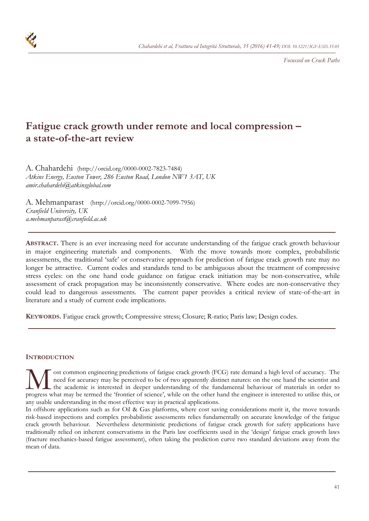

*Focussed on Crack Paths* 

# **Fatigue crack growth under remote and local compression – a state-of-the-art review**

A. Chahardehi (http://orcid.org/0000-0002-7823-7484) *Atkins Energy, Euston Tower, 286 Euston Road, London NW1 3AT, UK amir.chahardehi@atkinsglobal.com* 

A. Mehmanparast (http://orcid.org/0000-0002-7099-7956) *Cranfield University, UK a.mehmanparast@cranfield.ac.uk* 

**ABSTRACT.** There is an ever increasing need for accurate understanding of the fatigue crack growth behaviour in major engineering materials and components. With the move towards more complex, probabilistic assessments, the traditional 'safe' or conservative approach for prediction of fatigue crack growth rate may no longer be attractive. Current codes and standards tend to be ambiguous about the treatment of compressive stress cycles: on the one hand code guidance on fatigue crack initiation may be non-conservative, while assessment of crack propagation may be inconsistently conservative. Where codes are non-conservative they could lead to dangerous assessments. The current paper provides a critical review of state-of-the-art in literature and a study of current code implications.

**KEYWORDS.** Fatigue crack growth; Compressive stress; Closure; R-ratio; Paris law; Design codes.

# **INTRODUCTION**

ost common engineering predictions of fatigue crack growth (FCG) rate demand a high level of accuracy. The need for accuracy may be perceived to be of two apparently distinct natures: on the one hand the scientist and  $\mathsf L$  the academic is interested in deeper understanding of the fundamental behaviour of materials in order to **Progress what may be termed the 'frontier of science', while on the other hand the science is interested in deeper understanding of the fundamental behaviour of materials in order to progress what may be termed the 'front** any usable understanding in the most effective way in practical applications.

In offshore applications such as for Oil & Gas platforms, where cost saving considerations merit it, the move towards risk-based inspections and complex probabilistic assessments relies fundamentally on accurate knowledge of the fatigue crack growth behaviour. Nevertheless deterministic predictions of fatigue crack growth for safety applications have traditionally relied on inherent conservatisms in the Paris law coefficients used in the 'design' fatigue crack growth laws (fracture mechanics-based fatigue assessment), often taking the prediction curve two standard deviations away from the mean of data.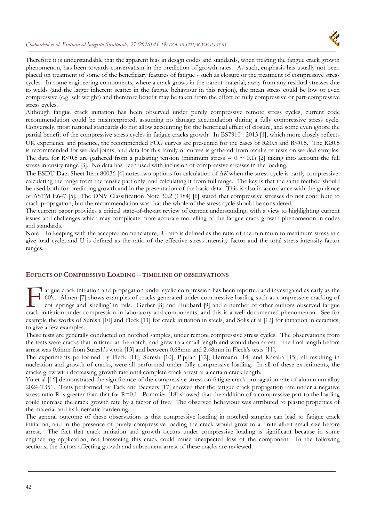

Therefore it is understandable that the apparent bias in design codes and standards, when treating the fatigue crack growth phenomenon, has been towards conservatism in the prediction of growth rates. As such, emphasis has usually not been placed on treatment of some of the beneficiary features of fatigue - such as closure or the treatment of compressive stress cycles. In some engineering components, where a crack grows in the parent material, away from any residual stresses due to welds (and the larger inherent scatter in the fatigue behaviour in this region), the mean stress could be low or even compressive (e.g. self weight) and therefore benefit may be taken from the effect of fully compressive or part-compressive stress cycles.

Although fatigue crack initiation has been observed under purely compressive remote stress cycles, current code recommendation could be misinterpreted, assuming no damage accumulation during a fully compressive stress cycle. Conversely, most national standards do not allow accounting for the beneficial effect of closure, and some even ignore the partial benefit of the compressive stress cycles in fatigue cracks growth. In BS7910 : 2013 [1], which more closely reflects UK experience and practice, the recommended FCG curves are presented for the cases of R $\geq$ 0.5 and R $\leq$ 0.5. The R $\geq$ 0.5 is recommended for welded joints, and data for this family of curves is gathered from results of tests on welded samples. The data for R<0.5 are gathered from a pulsating tension (minimum stress =  $0 \sim 0.1$ ) [2] taking into account the full stress intensity range [3]. No data has been used with inclusion of compressive stresses in the loading.

The ESDU Data Sheet Item 80036 [4] notes two options for calculation of  $\Delta K$  when the stress cycle is partly compressive: calculating the range from the tensile part only, and calculating it from full range. The key is that the same method should be used both for predicting growth and in the presentation of the basic data. This is also in accordance with the guidance of ASTM E647 [5]. The DNV Classification Note 30.2 (1984) [6] stated that compressive stresses do not contribute to crack propagation, but the recommendation was that the whole of the stress cycle should be considered.

The current paper provides a critical state-of-the-art review of current understanding, with a view to highlighting current issues and challenges which may complicate more accurate modelling of the fatigue crack growth phenomenon in codes and standards.

Note – In keeping with the accepted nomenclature, R-ratio is defined as the ratio of the minimum to maximum stress in a give load cycle, and U is defined as the ratio of the effective stress intensity factor and the total stress intensity factor ranges.

#### **EFFECTS OF COMPRESSIVE LOADING – TIMELINE OF OBSERVATIONS**

dique crack initiation and propagation under cyclic compression has been reported and investigated as early as the <sup>1</sup> 60's. Almen [7] shows examples of cracks generated under compressive loading such as compressive cracking of coil springs and 'shelling' in rails. Gerber [8] and Hubbard [9] and a number of other authors observed fatigue atigue crack initiation and propagation under cyclic compression has been reported and investigated as early as the 60's. Almen [7] shows examples of cracks generated under compressive loading such as compressive cracking example the works of Suresh [10] and Fleck [11] for crack initiation in steels, and Solis et al [12] for initiation in ceramics, to give a few examples.

These tests are generally conducted on notched samples, under remote compressive stress cycles. The observations from the tests were cracks that initiated at the notch, and grew to a small length and would then arrest – the final length before arrest was 0.6mm from Suresh's work [13] and between 0.68mm and 2.48mm in Fleck's tests [11].

The experiments performed by Fleck [11], Suresh [10], Pippan [12], Hermann [14] and Kasaba [15], all resulting in nucleation and growth of cracks, were all performed under fully compressive loading. In all of these experiments, the cracks grew with decreasing growth rate until complete crack arrest at a certain crack length.

Yu et al [16] demonstrated the significance of the compressive stress on fatigue crack propagation rate of aluminium alloy 2024-T351. Tests performed by Tack and Beevers [17] showed that the fatigue crack propagation rate under a negative stress ratio R is greater than that for  $R=0.1$ . Pommier [18] showed that the addition of a compressive part to the loading could increase the crack growth rate by a factor of five. The observed behaviour was attributed to plastic properties of the material and its kinematic hardening.

The general outcome of these observations is that compressive loading in notched samples can lead to fatigue crack initiation, and in the presence of purely compressive loading the crack would grow to a finite albeit small size before arrest. The fact that crack initiation and growth occurs under compressive loading is significant because in some engineering application, not foreseeing this crack could cause unexpected loss of the component. In the following sections, the factors affecting growth and subsequent arrest of these cracks are reviewed.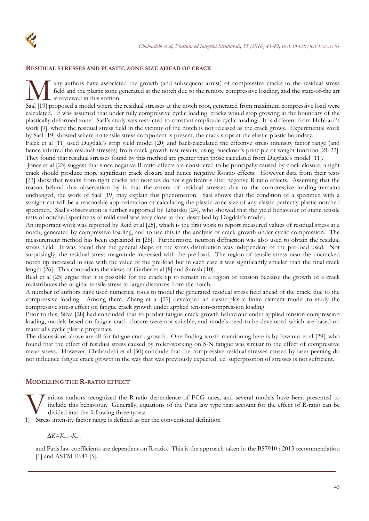

#### **RESIDUAL STRESSES AND PLASTIC ZONE SIZE AHEAD OF CRACK**

any authors have associated the growth (and subsequent arrest) of compressive cracks to the residual stress field and the plastic zone generated at the notch due to the remote compressive loading, and the state-of-the art is reviewed in this section. Saal [19] proposed a model where the residual stresses at the notch root, generated from maximum compressive load were  $\sum_{k=1}^{\infty}$  and the state-of-the art Saal [19] proposed a model where the residual stresses at the n

calculated. It was assumed that under fully compressive cyclic loading, cracks would stop growing at the boundary of the plastically deformed zone. Saal's study was restricted to constant amplitude cyclic loading. It is different from Hubbard's work [9], where the residual stress field in the vicinity of the notch is not released as the crack grows. Experimental work by Saal [19] showed where no tensile stress component is present, the crack stops at the elastic-plastic boundary.

Fleck et al [11] used Dugdale's strip yield model [20] and back-calculated the effective stress intensity factor range (and hence inferred the residual stresses) from crack growth test results, using Bueckner's principle of weight function [21-22]. They found that residual stresses found by this method are greater than those calculated from Dugdale's model [11].

 Jones et al [23] suggest that since negative R-ratio effects are considered to be principally caused by crack closure, a tight crack should produce more significant crack closure and hence negative R-ratio effects. However data from their tests [23] show that results from tight cracks and notches do not significantly alter negative R-ratio effects. Assuming that the reason behind this observation by is that the extent of residual stresses due to the compressive loading remains unchanged, the work of Saal [19] may explain this phenomenon. Saal shows that the condition of a specimen with a straight cut will be a reasonable approximation of calculating the plastic zone size of any elastic-perfectly plastic notched specimen. Saal's observation is further supported by Libatskii [24], who showed that the yield behaviour of static tensile tests of notched specimens of mild steel was very close to that described by Dugdale's model.

An important work was reported by Reid et al [25], which is the first work to report measured values of residual stress at a notch, generated by compressive loading, and to use this in the analysis of crack growth under cyclic compression. The measurement method has been explained in [26]. Furthermore, neutron diffraction was also used to obtain the residual stress field. It was found that the general shape of the stress distribution was independent of the pre-load used. Not surprisingly, the residual stress magnitude increased with the pre-load. The region of tensile stress near the uncracked notch tip increased in size with the value of the pre-load but in each case it was significantly smaller than the final crack length [26]. This contradicts the views of Gerber et al [8] and Suresh [10].

Reid et al [25] argue that it is possible for the crack tip to remain in a region of tension because the growth of a crack redistributes the original tensile stress to larger distances from the notch.

A number of authors have used numerical tools to model the generated residual stress field ahead of the crack, due to the compressive loading. Among them, Zhang et al [27] developed an elastic-plastic finite element model to study the compressive stress effect on fatigue crack growth under applied tension-compression loading.

Prior to this, Silva [28] had concluded that to predict fatigue crack growth behaviour under applied tension-compression loading, models based on fatigue crack closure were not suitable, and models need to be developed which are based on material's cyclic plastic properties.

The discussions above are all for fatigue crack growth. One finding worth mentioning here is by Iswanto et al [29], who found that the effect of residual stress caused by roller-working on S-N fatigue was similar to the effect of compressive mean stress. However, Chahardehi et al [30] conclude that the compressive residual stresses caused by laser peening do not influence fatigue crack growth in the way that was previously expected, i.e. superposition of stresses is not sufficient.

#### **MODELLING THE R-RATIO EFFECT**

arious authors recognized the R-ratio dependence of FCG rates, and several models have been presented to include this behaviour. Generally, equations of the Paris law type that account for the effect of R-ratio can be divided into the following three types: The arious authors recognized the R-ratio dependence of FCG rates, include this behaviour. Generally, equations of the Paris law type divided into the following three types:<br>1) Stress intensity factor range is defined as p

## *K=Kmax-Kmin*

and Paris law coefficients are dependent on R-ratio. This is the approach taken in the BS7910 : 2013 recommendation [1] and ASTM E647 [5].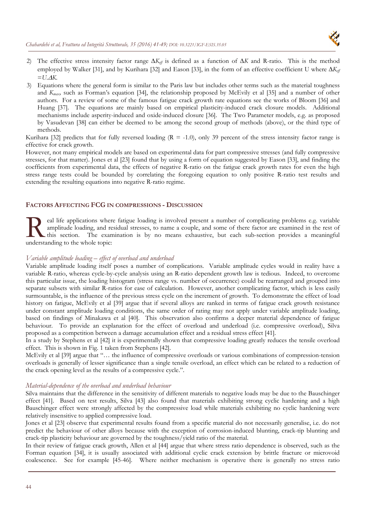

- 2) The effective stress intensity factor range  $\Delta K_{eff}$  is defined as a function of  $\Delta K$  and R-ratio. This is the method employed by Walker [31], and by Kurihara [32] and Eason [33], in the form of an effective coefficient U where  $\Delta K_{eff}$  $= U.AK$ .
- 3) Equations where the general form is similar to the Paris law but includes other terms such as the material toughness and *Kmax,* such as Forman's equation [34], the relationship proposed by McEvily et al [35] and a number of other authors. For a review of some of the famous fatigue crack growth rate equations see the works of Bloom [36] and Huang [37]. The equations are mainly based on empirical plasticity-induced crack closure models. Additional mechanisms include asperity-induced and oxide-induced closure [36]. The Two Parameter models, e.g. as proposed by Vasudevan [38] can either be deemed to be among the second group of methods (above), or the third type of methods.

Kurihara [32] predicts that for fully reversed loading  $(R = -1.0)$ , only 39 percent of the stress intensity factor range is effective for crack growth.

However, not many empirical models are based on experimental data for part compressive stresses (and fully compressive stresses, for that matter). Jones et al [23] found that by using a form of equation suggested by Eason [33], and finding the coefficients from experimental data, the effects of negative R-ratio on the fatigue crack growth rates for even the high stress range tests could be bounded by correlating the foregoing equation to only positive R-ratio test results and extending the resulting equations into negative R-ratio regime.

#### **FACTORS AFFECTING FCG IN COMPRESSIONS - DISCUSSION**

eal life applications where fatigue loading is involved present a number of complicating problems e.g. variable amplitude loading, and residual stresses, to name a couple, and some of there factor are examined in the rest of this section. The examination is by no means exhaustive, but each sub-section provides a meaningful Real life applications where<br>amplitude loading, and re<br>understanding to the whole topic:

#### *Variable amplitude loading – effect of overload and underload*

Variable amplitude loading itself poses a number of complications. Variable amplitude cycles would in reality have a variable R-ratio, whereas cycle-by-cycle analysis using an R-ratio dependent growth law is tedious. Indeed, to overcome this particular issue, the loading histogram (stress range vs. number of occurrence) could be rearranged and grouped into separate subsets with similar R-ratios for ease of calculation. However, another complicating factor, which is less easily surmountable, is the influence of the previous stress cycle on the increment of growth. To demonstrate the effect of load history on fatigue, McEvily et al [39] argue that if several alloys are ranked in terms of fatigue crack growth resistance under constant amplitude loading conditions, the same order of rating may not apply under variable amplitude loading, based on findings of Minakawa et al [40]. This observation also confirms a deeper material dependence of fatigue behaviour. To provide an explanation for the effect of overload and underload (i.e. compressive overload), Silva proposed as a competition between a damage accumulation effect and a residual stress effect [41].

In a study by Stephens et al [42] it is experimentally shown that compressive loading greatly reduces the tensile overload effect. This is shown in Fig. 1 taken from Stephens [42].

McEvily et al [39] argue that "… the influence of compressive overloads or various combinations of compression-tension overloads is generally of lesser significance than a single tensile overload, an effect which can be related to a reduction of the crack opening level as the results of a compressive cycle.".

#### *Material-dependence of the overload and underload behaviour*

Silva maintains that the difference in the sensitivity of different materials to negative loads may be due to the Bauschinger effect [41]. Based on test results, Silva [43] also found that materials exhibiting strong cyclic hardening and a high Bauschinger effect were strongly affected by the compressive load while materials exhibiting no cyclic hardening were relatively insensitive to applied compressive load.

Jones et al [23] observe that experimental results found from a specific material do not necessarily generalise, i.e. do not predict the behaviour of other alloys because with the exception of corrosion-induced blunting, crack-tip blunting and crack-tip plasticity behaviour are governed by the toughness/yield ratio of the material.

In their review of fatigue crack growth, Allen et al [44] argue that where stress ratio dependence is observed, such as the Forman equation [34], it is usually associated with additional cyclic crack extension by brittle fracture or microvoid coalescence. See for example [45-46]. Where neither mechanism is operative there is generally no stress ratio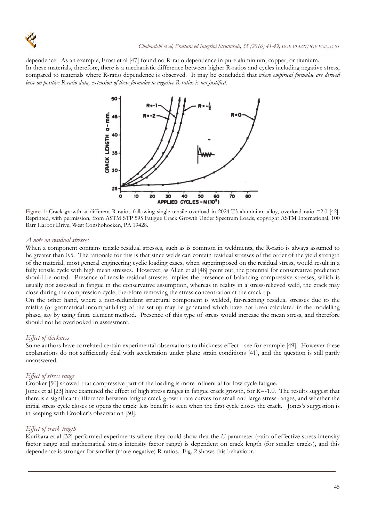

dependence. As an example, Frost et al [47] found no R-ratio dependence in pure aluminium, copper, or titanium. In these materials, therefore, there is a mechanistic difference between higher R-ratios and cycles including negative stress, compared to materials where R-ratio dependence is observed. It may be concluded that *where empirical formulae are derived base on positive R-ratio data, extension of these formulae to negative R-ratios is not justified*.



Figure 1: Crack growth at different R-ratios following single tensile overload in 2024-T3 aluminium alloy, overload ratio =2.0 [42]. Reprinted, with permission, from ASTM STP 595 Fatigue Crack Growth Under Spectrum Loads, copyright ASTM International, 100 Barr Harbor Drive, West Conshohocken, PA 19428.

#### *A note on residual stresses*

When a component contains tensile residual stresses, such as is common in weldments, the R-ratio is always assumed to be greater than 0.5. The rationale for this is that since welds can contain residual stresses of the order of the yield strength of the material, most general engineering cyclic loading cases, when superimposed on the residual stress, would result in a fully tensile cycle with high mean stresses. However, as Allen et al [48] point out, the potential for conservative prediction should be noted. Presence of tensile residual stresses implies the presence of balancing compressive stresses, which is usually not assessed in fatigue in the conservative assumption, whereas in reality in a stress-relieved weld, the crack may close during the compression cycle, therefore removing the stress concentration at the crack tip.

On the other hand, where a non-redundant structural component is welded, far-reaching residual stresses due to the misfits (or geometrical incompatibility) of the set up may be generated which have not been calculated in the modelling phase, say by using finite element method. Presence of this type of stress would increase the mean stress, and therefore should not be overlooked in assessment.

# *Effect of thickness*

Some authors have correlated certain experimental observations to thickness effect - see for example [49]. However these explanations do not sufficiently deal with acceleration under plane strain conditions [41], and the question is still partly unanswered.

# *Effect of stress range*

Crooker [50] showed that compressive part of the loading is more influential for low-cycle fatigue.

Jones et al [23] have examined the effect of high stress ranges in fatigue crack growth, for R=-1.0. The results suggest that there is a significant difference between fatigue crack growth rate curves for small and large stress ranges, and whether the initial stress cycle closes or opens the crack: less benefit is seen when the first cycle closes the crack. Jones's suggestion is in keeping with Crooker's observation [50].

# *Effect of crack length*

Kurihara et al [32] performed experiments where they could show that the *U* parameter (ratio of effective stress intensity factor range and mathematical stress intensity factor range) is dependent on crack length (for smaller cracks), and this dependence is stronger for smaller (more negative) R-ratios. Fig. 2 shows this behaviour.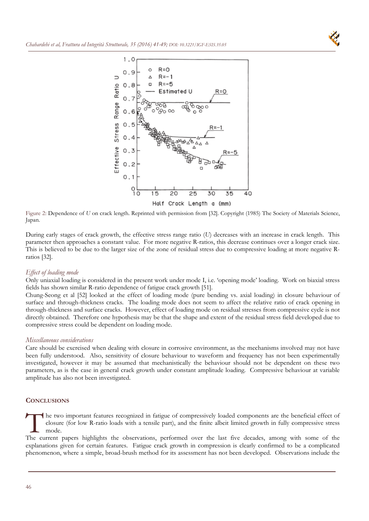



Figure 2: Dependence of *U* on crack length. Reprinted with permission from [32]. Copyright (1985) The Society of Materials Science, Japan.

During early stages of crack growth, the effective stress range ratio (*U*) decreases with an increase in crack length. This parameter then approaches a constant value. For more negative R-ratios, this decrease continues over a longer crack size. This is believed to be due to the larger size of the zone of residual stress due to compressive loading at more negative Rratios [32].

#### *Effect of loading mode*

Only uniaxial loading is considered in the present work under mode I, i.e. 'opening mode' loading. Work on biaxial stress fields has shown similar R-ratio dependence of fatigue crack growth [51].

Chung-Seong et al [52] looked at the effect of loading mode (pure bending vs. axial loading) in closure behaviour of surface and through-thickness cracks. The loading mode does not seem to affect the relative ratio of crack opening in through-thickness and surface cracks. However, effect of loading mode on residual stresses from compressive cycle is not directly obtained. Therefore one hypothesis may be that the shape and extent of the residual stress field developed due to compressive stress could be dependent on loading mode.

#### *Miscellaneous considerations*

Care should be exercised when dealing with closure in corrosive environment, as the mechanisms involved may not have been fully understood. Also, sensitivity of closure behaviour to waveform and frequency has not been experimentally investigated, however it may be assumed that mechanistically the behaviour should not be dependent on these two parameters, as is the case in general crack growth under constant amplitude loading. Compressive behaviour at variable amplitude has also not been investigated.

#### **CONCLUSIONS**

he two important features recognized in fatigue of compressively loaded components are the beneficial effect of closure (for low R-ratio loads with a tensile part), and the finite albeit limited growth in fully compressive stress mode. The two important features recognized in fatigue of compressively loaded components are the beneficial effect of closure (for low R-ratio loads with a tensile part), and the finite albeit limited growth in fully compressiv

explanations given for certain features. Fatigue crack growth in compression is clearly confirmed to be a complicated phenomenon, where a simple, broad-brush method for its assessment has not been developed. Observations include the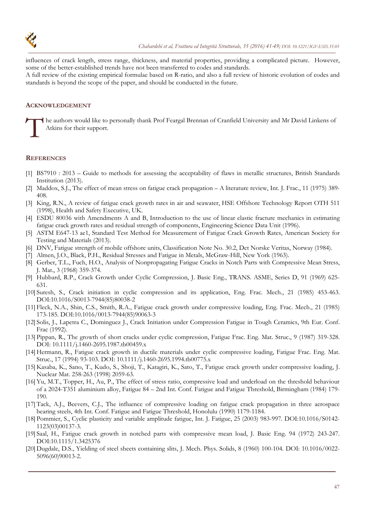

influences of crack length, stress range, thickness, and material properties, providing a complicated picture. However, some of the better-established trends have not been transferred to codes and standards.

A full review of the existing empirical formulae based on R-ratio, and also a full review of historic evolution of codes and standards is beyond the scope of the paper, and should be conducted in the future.

# **ACKNOWLEDGEMENT**

he authors would like to personally thank Prof Feargal Brennan of Cranfield University and Mr David Linkens of Atkins for their support.  $\int_{A}$ 

### **REFERENCES**

- [1] BS7910 : 2013 Guide to methods for assessing the acceptability of flaws in metallic structures, British Standards Institution (2013).
- [2] Maddox, S.J., The effect of mean stress on fatigue crack propagation A literature review, Int. J. Frac., 11 (1975) 389- 408.
- [3] King, R.N., A review of fatigue crack growth rates in air and seawater, HSE Offshore Technology Report OTH 511 (1998), Health and Safety Executive, UK.
- [4] ESDU 80036 with Amendments A and B, Introduction to the use of linear elastic fracture mechanics in estimating fatigue crack growth rates and residual strength of components, Engineering Science Data Unit (1996).
- [5] ASTM E647-13 ae1, Standard Test Method for Measurement of Fatigue Crack Growth Rates, American Society for Testing and Materials (2013).
- [6] DNV, Fatigue strength of mobile offshore units, Classification Note No. 30.2, Det Norske Veritas, Norway (1984).
- [7] Almen, J.O., Black, P.H., Residual Stresses and Fatigue in Metals, McGraw-Hill, New York (1963).
- [8] Gerber, T.L., Fuch, H.O., Analysis of Nonpropagating Fatigue Cracks in Notch Parts with Compressive Mean Stress, J. Mat., 3 (1968) 359-374.
- [9] Hubbard, R.P., Crack Growth under Cyclic Compression, J. Basic Eng., TRANS. ASME, Series D, 91 (1969) 625- 631.
- [10] Suresh, S., Crack initiation in cyclic compression and its application, Eng. Frac. Mech., 21 (1985) 453-463. DOI:10.1016/S0013-7944(85)80038-2
- [11] Fleck, N.A., Shin, C.S., Smith, R.A., Fatigue crack growth under compressive loading, Eng. Frac. Mech., 21 (1985) 173-185. DOI:10.1016/0013-7944(85)90063-3
- [12] Solis, J., Lapetra C., Dominguez J., Crack Initiation under Compression Fatigue in Tough Ceramics, 9th Eur. Conf. Frac (1992).
- [13] Pippan, R., The growth of short cracks under cyclic compression, Fatigue Frac. Eng. Mat. Struc., 9 (1987) 319-328. DOI: 10.1111/j.1460-2695.1987.tb00459.x
- [14] Hermann, R., Fatigue crack growth in ductile materials under cyclic compressive loading, Fatigue Frac. Eng. Mat. Struc., 17 (1994) 93-103. DOI: 10.1111/j.1460-2695.1994.tb00775.x
- [15] Kasaba, K., Sano, T., Kudo, S., Shoji, T., Katagiri, K., Sato, T., Fatigue crack growth under compressive loading, J. Nuclear Mat. 258-263 (1998) 2059-63.
- [16]Yu, M.T., Topper, H., Au, P., The effect of stress ratio, compressive load and underload on the threshold behaviour of a 2024-T351 aluminium alloy, Fatigue 84 – 2nd Int. Conf. Fatigue and Fatigue Threshold, Birmingham (1984) 179- 190.
- [17] Tack, A.J., Beevers, C.J., The influence of compressive loading on fatigue crack propagation in three aerospace bearing steels, 4th Int. Conf. Fatigue and Fatigue Threshold, Honolulu (1990) 1179-1184.
- [18] Pommier, S., Cyclic plasticity and variable amplitude fatigue, Int. J. Fatigue, 25 (2003) 983-997. DOI:10.1016/S0142- 1123(03)00137-3.
- [19] Saal, H., Fatigue crack growth in notched parts with compressive mean load, J. Basic Eng. 94 (1972) 243-247. DOI:10.1115/1.3425376
- [20] Dugdale, D.S., Yielding of steel sheets containing slits, J. Mech. Phys. Solids, 8 (1960) 100-104. DOI: 10.1016/0022- 5096(60)90013-2.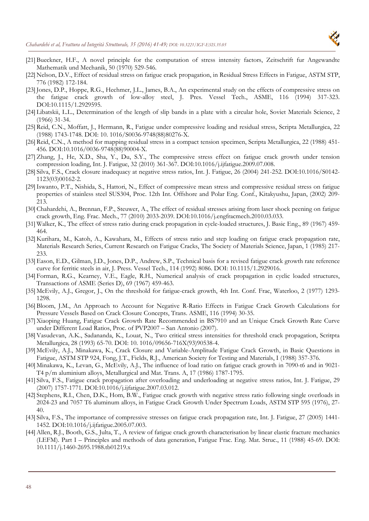

- [21] Bueckner, H.F., A novel principle for the computation of stress intensity factors, Zeitschrift fur Angewandte Mathematik und Mechanik, 50 (1970) 529-546.
- [22] Nelson, D.V., Effect of residual stress on fatigue crack propagation, in Residual Stress Effects in Fatigue, ASTM STP, 776 (1982) 172-184.
- [23] Jones, D.P., Hoppe, R.G., Hechmer, J.L., James, B.A., An experimental study on the effects of compressive stress on the fatigue crack growth of low-alloy steel, J. Pres. Vessel Tech., ASME, 116 (1994) 317-323. DOI:10.1115/1.2929595.
- [24] Libatskii, L.L., Determination of the length of slip bands in a plate with a circular hole, Soviet Materials Science, 2 (1966) 31-34.
- [25] Reid, C.N., Moffatt, J., Hermann, R., Fatigue under compressive loading and residual stress, Scripta Metallurgica, 22 (1988) 1743-1748. DOI: 10. 1016/S0036-9748(88)80276-X.
- [26] Reid, C.N., A method for mapping residual stress in a compact tension specimen, Scripta Metallurgica, 22 (1988) 451- 456. DOI:10.1016/0036-9748(88)90004-X.
- [27]Zhang, J., He, X.D., Sha, Y., Du, S.Y., The compressive stress effect on fatigue crack growth under tension compression loading, Int. J. Fatigue, 32 (2010) 361-367. DOI:10.1016/j.ijfatigue.2009.07.008.
- [28] Silva, F.S., Crack closure inadequacy at negative stress ratios, Int. J. Fatigue, 26 (2004) 241-252. DOI:10.1016/S0142- 1123(03)00162-2.
- [29]Iswanto, P.T., Nishida, S., Hattori, N., Effect of compressive mean stress and compressive residual stress on fatigue properties of stainless steel SUS304, Proc. 12th Int. Offshore and Polar Eng. Conf., Kitakyushu, Japan, (2002) 209- 213.
- [30] Chahardehi, A., Brennan, F.P., Steuwer, A., The effect of residual stresses arising from laser shock peening on fatigue crack growth, Eng. Frac. Mech., 77 (2010) 2033-2039. DOI:10.1016/j.engfracmech.2010.03.033.
- [31] Walker, K., The effect of stress ratio during crack propagation in cycle-loaded structures, J. Basic Eng., 89 (1967) 459- 464.
- [32] Kurihara, M., Katoh, A., Kawahara, M., Effects of stress ratio and step loading on fatigue crack propagation rate, Materials Research Series, Current Research on Fatigue Cracks, The Society of Materials Science, Japan, 1 (1985) 217- 233.
- [33]Eason, E.D., Gilman, J.D., Jones, D.P., Andrew, S.P., Technical basis for a revised fatigue crack growth rate reference curve for ferritic steels in air, J. Press. Vessel Tech., 114 (1992) 8086. DOI: 10.1115/1.2929016.
- [34] Forman, R.G., Kearney, V.E., Eagle, R.H., Numerical analysis of crack propagation in cyclic loaded structures, Transactions of ASME (Series D), 69 (1967) 459-463.
- [35] McEvily, A.J., Gregor, J., On the threshold for fatigue-crack growth, 4th Int. Conf. Frac, Waterloo, 2 (1977) 1293- 1298.
- [36] Bloom, J.M., An Approach to Account for Negative R-Ratio Effects in Fatigue Crack Growth Calculations for Pressure Vessels Based on Crack Closure Concepts, Trans. ASME, 116 (1994) 30-35.
- [37]Xiaoping Huang, Fatigue Crack Growth Rate Recommended in BS7910 and an Unique Crack Growth Rate Curve under Different Load Ratios, Proc. of PVP2007 – San Antonio (2007).
- [38] Vasudevan, A.K., Sadananda, K., Louat, N., Two critical stress intensities for threshold crack propagation, Scritpta Metallurgica, 28 (1993) 65-70. DOI: 10. 1016/09656-716X(93)90538-4.
- [39] McEvily, A.J., Minakawa, K., Crack Closure and Variable-Amplitude Fatigue Crack Growth, in Basic Questions in Fatigue, ASTM STP 924, Fong, J.T., Fields, R.J., American Society for Testing and Materials, I (1988) 357-376.
- [40] Minakawa, K., Levan, G., McEvily, A.J., The influence of load ratio on fatigue crack growth in 7090-t6 and in 9021- T4 p/m aluminium alloys, Metallurgical and Mat. Trans. A, 17 (1986) 1787-1795.
- [41] Silva, F.S., Fatigue crack propagation after overloading and underloading at negative stress ratios, Int. J. Fatigue, 29 (2007) 1757-1771. DOI:10.1016/j.ijfatigue.2007.03.012.
- [42] Stephens, R.I., Chen, D.K., Hom, B.W., Fatigue crack growth with negative stress ratio following single overloads in 2024-23 and 7057 T6 aluminum alloys, in Fatigue Crack Growth Under Spectrum Loads, ASTM STP 595 (1976), 27- 40.
- [43] Silva, F.S., The importance of compressive stresses on fatigue crack propagation rate, Int. J. Fatigue, 27 (2005) 1441- 1452. DOI:10.1016/j.ijfatigue.2005.07.003.
- [44]Allen, R.J., Booth, G.S., Julta, T., A review of fatigue crack growth characterisation by linear elastic fracture mechanics (LEFM). Part I – Principles and methods of data generation, Fatigue Frac. Eng. Mat. Struc., 11 (1988) 45-69. DOI: 10.1111/j.1460-2695.1988.tb01219.x